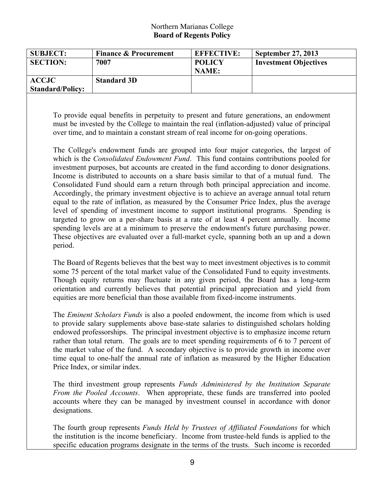## Northern Marianas College **Board of Regents Policy**

| <b>SUBJECT:</b>         | <b>Finance &amp; Procurement</b> | <b>EFFECTIVE:</b> | September 27, 2013           |
|-------------------------|----------------------------------|-------------------|------------------------------|
| <b>SECTION:</b>         | 7007                             | <b>POLICY</b>     | <b>Investment Objectives</b> |
|                         |                                  | NAME:             |                              |
| <b>ACCJC</b>            | <b>Standard 3D</b>               |                   |                              |
| <b>Standard/Policy:</b> |                                  |                   |                              |

To provide equal benefits in perpetuity to present and future generations, an endowment must be invested by the College to maintain the real (inflation-adjusted) value of principal over time, and to maintain a constant stream of real income for on-going operations.

The College's endowment funds are grouped into four major categories, the largest of which is the *Consolidated Endowment Fund*. This fund contains contributions pooled for investment purposes, but accounts are created in the fund according to donor designations. Income is distributed to accounts on a share basis similar to that of a mutual fund. The Consolidated Fund should earn a return through both principal appreciation and income. Accordingly, the primary investment objective is to achieve an average annual total return equal to the rate of inflation, as measured by the Consumer Price Index, plus the average level of spending of investment income to support institutional programs. Spending is targeted to grow on a per-share basis at a rate of at least 4 percent annually. Income spending levels are at a minimum to preserve the endowment's future purchasing power. These objectives are evaluated over a full-market cycle, spanning both an up and a down period.

The Board of Regents believes that the best way to meet investment objectives is to commit some 75 percent of the total market value of the Consolidated Fund to equity investments. Though equity returns may fluctuate in any given period, the Board has a long-term orientation and currently believes that potential principal appreciation and yield from equities are more beneficial than those available from fixed-income instruments.

The *Eminent Scholars Funds* is also a pooled endowment, the income from which is used to provide salary supplements above base-state salaries to distinguished scholars holding endowed professorships. The principal investment objective is to emphasize income return rather than total return. The goals are to meet spending requirements of 6 to 7 percent of the market value of the fund. A secondary objective is to provide growth in income over time equal to one-half the annual rate of inflation as measured by the Higher Education Price Index, or similar index.

The third investment group represents *Funds Administered by the Institution Separate From the Pooled Accounts*. When appropriate, these funds are transferred into pooled accounts where they can be managed by investment counsel in accordance with donor designations.

The fourth group represents *Funds Held by Trustees of Affiliated Foundations* for which the institution is the income beneficiary. Income from trustee-held funds is applied to the specific education programs designate in the terms of the trusts. Such income is recorded